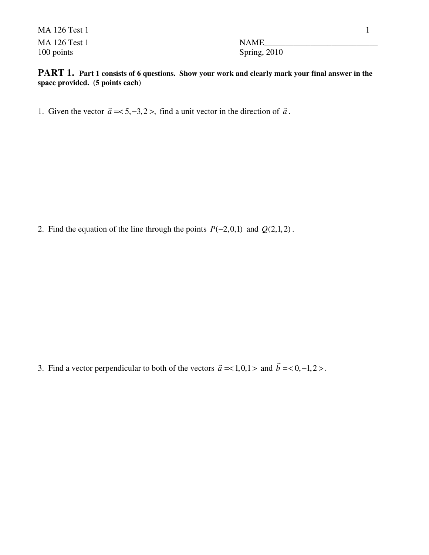MA 126 Test 1 1 MA 126 Test 1 NAME 100 points Spring, 2010

**PART 1.** Part 1 consists of 6 questions. Show your work and clearly mark your final answer in the **space provided. (5 points each)**

1. Given the vector  $\vec{a} = <5, -3, 2>$ , find a unit vector in the direction of  $\vec{a}$ .

2. Find the equation of the line through the points  $P(-2,0,1)$  and  $Q(2,1,2)$ .

3. Find a vector perpendicular to both of the vectors  $\vec{a} = <1, 0, 1>$  and  $\vec{b} = <0, -1, 2>$ .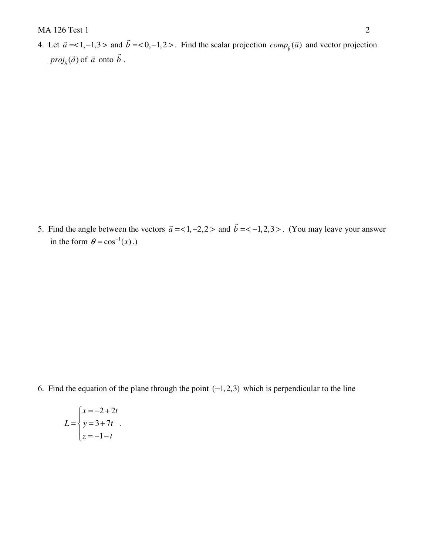4. Let  $\vec{a} = <1, -1, 3>$  and  $\vec{b} = <0, -1, 2>$ . Find the scalar projection  $comp_{\vec{b}}(\vec{a})$  and vector projection  $proj_{\vec{b}}(\vec{a})$  of  $\vec{a}$  onto  $\vec{b}$ .

5. Find the angle between the vectors  $\vec{a} = 1, -2, 2$  and  $\vec{b} = 1, 2, 3$ . (You may leave your answer in the form  $\theta = \cos^{-1}(x)$ .

6. Find the equation of the plane through the point  $(-1,2,3)$  which is perpendicular to the line

$$
L = \begin{cases} x = -2 + 2t \\ y = 3 + 7t \\ z = -1 - t \end{cases}.
$$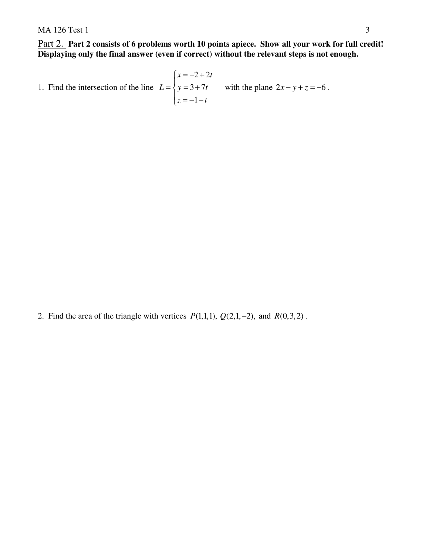Part 2. **Part 2 consists of 6 problems worth 10 points apiece. Show all your work for full credit! Displaying only the final answer (even if correct) without the relevant steps is not enough.** 

1. Find the intersection of the line  $2 + 2$  $3 + 7$  $\left\lfloor z \right\rfloor = -1 - t$  $x = -2 + 2t$  $L = \{ y = 3 + 7t$  $x = -2 +$  $=\begin{cases} y = 3 + \end{cases}$  $\overline{\phantom{a}}$ with the plane  $2x - y + z = -6$ .

2. Find the area of the triangle with vertices  $P(1,1,1)$ ,  $Q(2,1,-2)$ , and  $R(0,3,2)$ .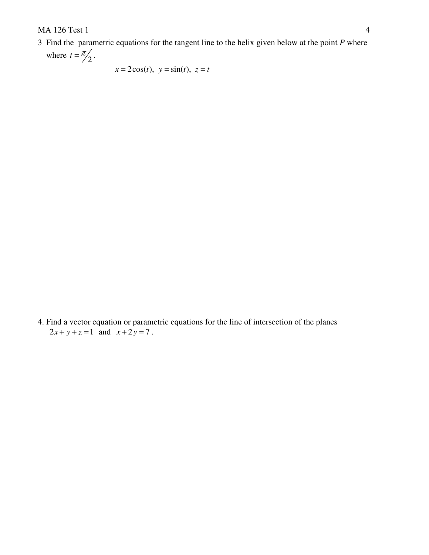3 Find the parametric equations for the tangent line to the helix given below at the point *P* where

where  $t = \frac{\pi}{2}$ .

 $x = 2\cos(t), y = \sin(t), z = t$ 

4. Find a vector equation or parametric equations for the line of intersection of the planes  $2x + y + z = 1$  and  $x + 2y = 7$ .